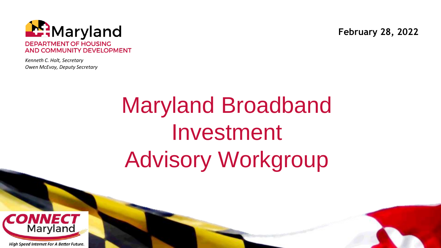

*Kenneth C. Holt, Secretary Owen McEvoy, Deputy Secretary* **February 28, 2022**

# Maryland Broadband Investment Advisory Workgroup

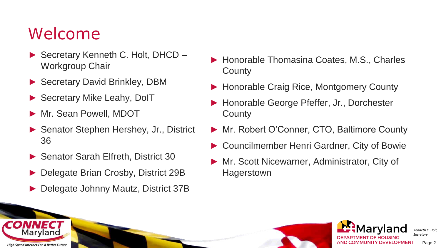#### Welcome

Marvland

**High Speed Internet For A Better Future** 

- ► Secretary Kenneth C. Holt, DHCD Workgroup Chair
- ► Secretary David Brinkley, DBM
- ► Secretary Mike Leahy, DoIT
- ► Mr. Sean Powell, MDOT
- ► Senator Stephen Hershey, Jr., District 36
- ► Senator Sarah Elfreth, District 30
- ► Delegate Brian Crosby, District 29B
- Delegate Johnny Mautz, District 37B
- ► Honorable Thomasina Coates, M.S., Charles **County**
- ► Honorable Craig Rice, Montgomery County
- ► Honorable George Pfeffer, Jr., Dorchester **County**
- ► Mr. Robert O'Conner, CTO, Baltimore County
- ► Councilmember Henri Gardner, City of Bowie
- ► Mr. Scott Nicewarner, Administrator, City of **Hagerstown**



*Kenneth C. Holt, Secretary* Page 2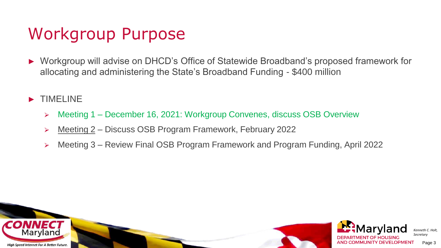### Workgroup Purpose

- ► Workgroup will advise on DHCD's Office of Statewide Broadband's proposed framework for allocating and administering the State's Broadband Funding - \$400 million
- ► TIMELINE
	- > Meeting 1 December 16, 2021: Workgroup Convenes, discuss OSB Overview
	- ⮚ Meeting 2 Discuss OSB Program Framework, February 2022
	- ⮚ Meeting 3 Review Final OSB Program Framework and Program Funding, April 2022

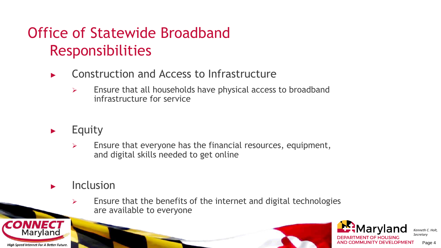#### Office of Statewide Broadband Responsibilities

- Construction and Access to Infrastructure
	- $\triangleright$  Ensure that all households have physical access to broadband infrastructure for service
- ► Equity
	- $\triangleright$  Ensure that everyone has the financial resources, equipment, and digital skills needed to get online
- **Inclusion** 
	- $\triangleright$  Ensure that the benefits of the internet and digital technologies are available to everyone





Page 4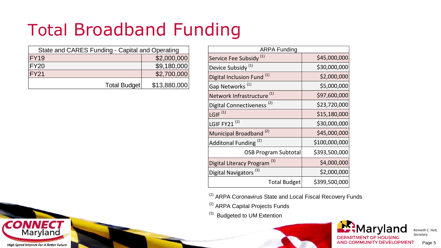### Total Broadband Funding

| State and CARES Funding - Capital and Operating |              |  |
|-------------------------------------------------|--------------|--|
| FY19                                            | \$2,000,000  |  |
| FY20                                            | \$9,180,000  |  |
| FY21                                            | \$2,700,000  |  |
| Total Budget                                    | \$13,880,000 |  |

| <b>ARPA Funding</b>                   |               |  |
|---------------------------------------|---------------|--|
| Service Fee Subsidy <sup>(1)</sup>    | \$45,000,000  |  |
| Device Subsidy <sup>(1)</sup>         | \$30,000,000  |  |
| Digital Inclusion Fund <sup>(1)</sup> | \$2,000,000   |  |
| Gap Networks <sup>(1)</sup>           | \$5,000,000   |  |
| Network Infrastructure <sup>(1)</sup> | \$97,600,000  |  |
| Digital Connectiveness <sup>(2)</sup> | \$23,720,000  |  |
| $\overline{\mathsf{LGIF}}^{(1)}$      | \$15,180,000  |  |
| LGIF FY21 <sup>(1)</sup>              | \$30,000,000  |  |
| Municipal Broadband <sup>(2)</sup>    | \$45,000,000  |  |
| Additonal Funding <sup>(2)</sup>      | \$100,000,000 |  |
| <b>OSB Program Subtotal</b>           | \$393,500,000 |  |
| (3)<br>Digital Literacy Program       | \$4,000,000   |  |
| Digital Navigators <sup>(3)</sup>     | \$2,000,000   |  |
| <b>Total Budget</b>                   | \$399,500,000 |  |

(1) ARPA Coronavirus State and Local Fiscal Recovery Funds

(2) ARPA Capital Projects Funds

<sup>(3)</sup> Budgeted to UM Extention



*Kenneth C. Holt, Secretary*

**High Speed Internet For A Better Future.** 

CONNECT

Maryland

Page 5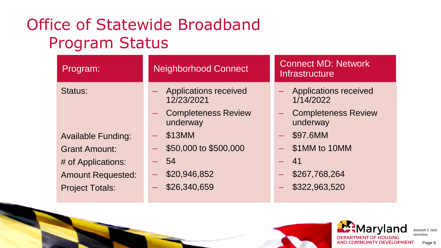#### Office of Statewide Broadband Program Status

| Program:                  | <b>Connect MD: Network</b><br><b>Neighborhood Connect</b><br><b>Infrastructure</b> |                                        |
|---------------------------|------------------------------------------------------------------------------------|----------------------------------------|
| Status:                   | - Applications received<br>12/23/2021                                              | - Applications received<br>1/14/2022   |
|                           | <b>Completeness Review</b><br>underway                                             | <b>Completeness Review</b><br>underway |
| <b>Available Funding:</b> | \$13MM                                                                             | \$97.6MM                               |
| <b>Grant Amount:</b>      | \$50,000 to \$500,000                                                              | \$1MM to 10MM                          |
| # of Applications:        | - 54                                                                               | - 41                                   |
| <b>Amount Requested:</b>  | \$20,946,852                                                                       | \$267,768,264                          |
| <b>Project Totals:</b>    | \$26,340,659                                                                       | \$322,963,520                          |



*Kenneth C. Holt, Secretary* Page 6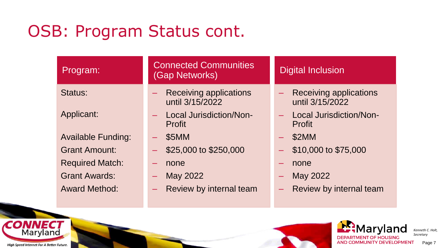#### OSB: Program Status cont.

| Program:                  | <b>Connected Communities</b><br>(Gap Networks)  | <b>Digital Inclusion</b>                        |  |
|---------------------------|-------------------------------------------------|-------------------------------------------------|--|
| Status:                   | Receiving applications<br>н.<br>until 3/15/2022 | Receiving applications<br>until 3/15/2022       |  |
| Applicant:                | <b>Local Jurisdiction/Non-</b><br>Profit        | <b>Local Jurisdiction/Non-</b><br><b>Profit</b> |  |
| <b>Available Funding:</b> | \$5MM<br>-                                      | \$2MM<br>-                                      |  |
| <b>Grant Amount:</b>      | \$25,000 to \$250,000                           | \$10,000 to \$75,000                            |  |
| <b>Required Match:</b>    | none<br>$\overline{\phantom{0}}$                | none                                            |  |
| <b>Grant Awards:</b>      | May 2022                                        | May 2022<br>-                                   |  |
| <b>Award Method:</b>      | Review by internal team                         | Review by internal team                         |  |



**High Speed Internet For A Better Future.** 

**CONNECT**<br>Maryland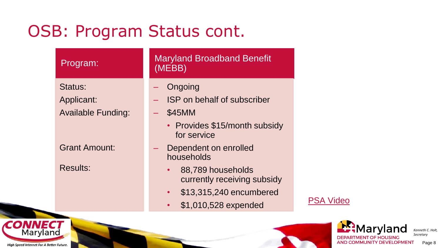#### OSB: Program Status cont.

| Program:                  | <b>Maryland Broadband Benefit</b><br>(MEBB)      |
|---------------------------|--------------------------------------------------|
| Status:                   | Ongoing                                          |
| Applicant:                | <b>ISP</b> on behalf of subscriber               |
| <b>Available Funding:</b> | \$45MM                                           |
|                           | • Provides \$15/month subsidy<br>for service     |
| <b>Grant Amount:</b>      | Dependent on enrolled<br>households              |
| <b>Results:</b>           | 88,789 households<br>currently receiving subsidy |
|                           | \$13,315,240 encumbered<br>$\bullet$             |
|                           | \$1,010,528 expended                             |

[PSA Video](https://app.shift.io/review/620e5d362e67be6047f80ddc/5200bc4d-9c03-498a-b3ce-d27e43499022)



*Kenneth C. Holt, Secretary* Page 8

**High Speed Internet For A Better Future.** 

**CONNECT**<br>Maryland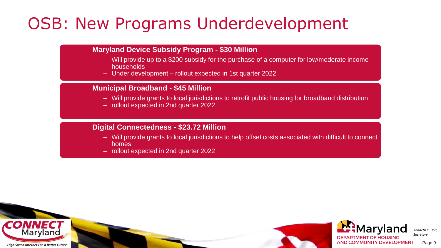### OSB: New Programs Underdevelopment

#### **Maryland Device Subsidy Program - \$30 Million**

- Will provide up to a \$200 subsidy for the purchase of a computer for low/moderate income households
- Under development rollout expected in 1st quarter 2022

#### **Municipal Broadband - \$45 Million**

- Will provide grants to local jurisdictions to retrofit public housing for broadband distribution
- rollout expected in 2nd quarter 2022

#### **Digital Connectedness - \$23.72 Million**

- Will provide grants to local jurisdictions to help offset costs associated with difficult to connect homes
- rollout expected in 2nd quarter 2022





Page 9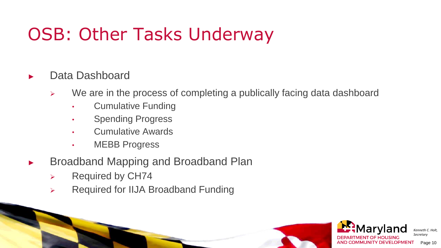### OSB: Other Tasks Underway

#### Data Dashboard

- ➢ We are in the process of completing a publically facing data dashboard
	- Cumulative Funding
	- Spending Progress
	- Cumulative Awards
	- MEBB Progress
- ► Broadband Mapping and Broadband Plan
	- ➢ Required by CH74
	- ➢ Required for IIJA Broadband Funding

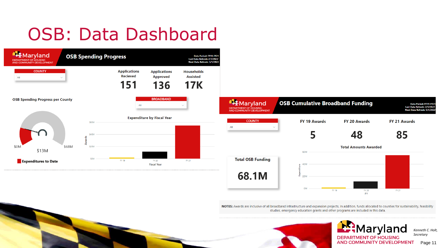## OSB: Data Dashboard





NOTES: Awards are inclusive of all broadband infrastructure and expansion projects. In addition, funds allocated to counties for sustainability, feasibility studies, emergency education grants and other programs are included in this data.



E:Maryland **DEPARTMENT OF HOUSING** AND COMMUNITY DEVELOPMENT

*Kenneth C. Holt, Secretary* Page 11